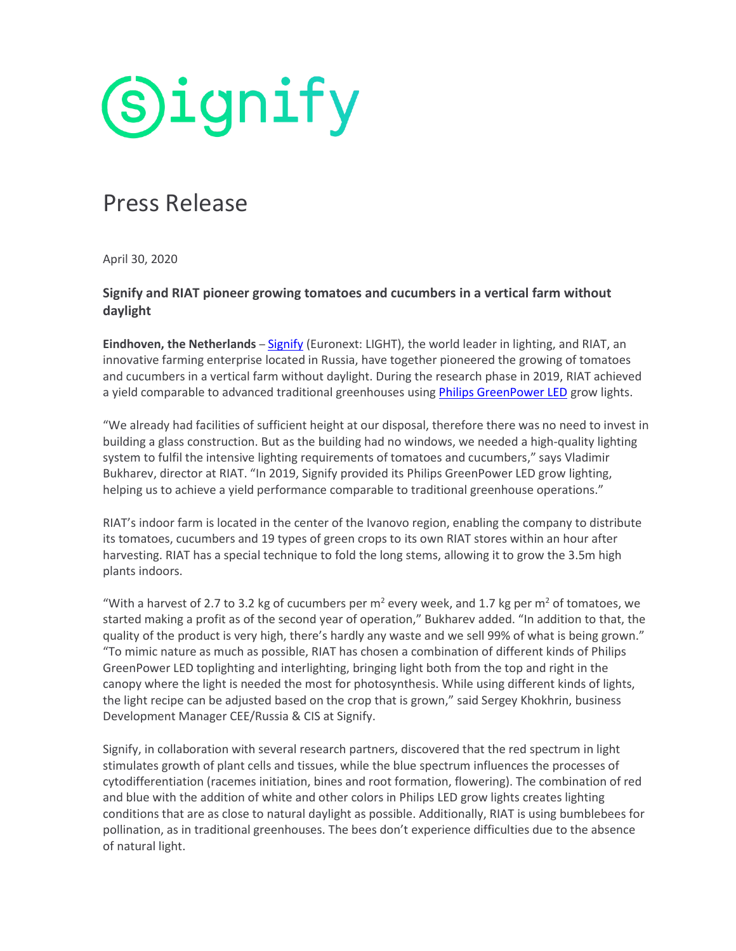**Signify** 

# Press Release

April 30, 2020

## **Signify and RIAT pioneer growing tomatoes and cucumbers in a vertical farm without daylight**

**Eindhoven, the Netherlands** – [Signify](http://www.signify.com/) (Euronext: LIGHT), the world leader in lighting, and RIAT, an innovative farming enterprise located in Russia, have together pioneered the growing of tomatoes and cucumbers in a vertical farm without daylight. During the research phase in 2019, RIAT achieved a yield comparable to advanced traditional greenhouses using **Philips GreenPower LED** grow lights.

"We already had facilities of sufficient height at our disposal, therefore there was no need to invest in building a glass construction. But as the building had no windows, we needed a high-quality lighting system to fulfil the intensive lighting requirements of tomatoes and cucumbers," says Vladimir Bukharev, director at RIAT. "In 2019, Signify provided its Philips GreenPower LED grow lighting, helping us to achieve a yield performance comparable to traditional greenhouse operations."

RIAT's indoor farm is located in the center of the Ivanovo region, enabling the company to distribute its tomatoes, cucumbers and 19 types of green crops to its own RIAT stores within an hour after harvesting. RIAT has a special technique to fold the long stems, allowing it to grow the 3.5m high plants indoors.

"With a harvest of 2.7 to 3.2 kg of cucumbers per  $m^2$  every week, and 1.7 kg per  $m^2$  of tomatoes, we started making a profit as of the second year of operation," Bukharev added. "In addition to that, the quality of the product is very high, there's hardly any waste and we sell 99% of what is being grown." "To mimic nature as much as possible, RIAT has chosen a combination of different kinds of Philips GreenPower LED toplighting and interlighting, bringing light both from the top and right in the canopy where the light is needed the most for photosynthesis. While using different kinds of lights, the light recipe can be adjusted based on the crop that is grown," said Sergey Khokhrin, business Development Manager CEE/Russia & CIS at Signify.

Signify, in collaboration with several research partners, discovered that the red spectrum in light stimulates growth of plant cells and tissues, while the blue spectrum influences the processes of cytodifferentiation (racemes initiation, bines and root formation, flowering). The combination of red and blue with the addition of white and other colors in Philips LED grow lights creates lighting conditions that are as close to natural daylight as possible. Additionally, RIAT is using bumblebees for pollination, as in traditional greenhouses. The bees don't experience difficulties due to the absence of natural light.